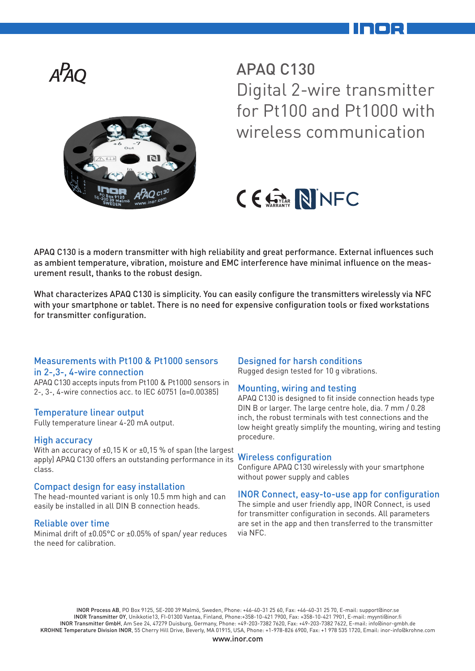

APAQ C130 Digital 2-wire transmitter for Pt100 and Pt1000 with wireless communication

# CE STAR NINFC

APAQ C130 is a modern transmitter with high reliability and great performance. External influences such as ambient temperature, vibration, moisture and EMC interference have minimal influence on the measurement result, thanks to the robust design.

What characterizes APAQ C130 is simplicity. You can easily configure the transmitters wirelessly via NFC with your smartphone or tablet. There is no need for expensive configuration tools or fixed workstations for transmitter configuration.

#### Measurements with Pt100 & Pt1000 sensors in 2-,3-, 4-wire connection

APAQ C130 accepts inputs from Pt100 & Pt1000 sensors in 2-, 3-, 4-wire connectios acc. to IEC 60751 (α=0.00385)

## Temperature linear output

Fully temperature linear 4-20 mA output.

## High accuracy

With an accuracy of ±0,15 K or ±0,15 % of span (the largest apply) APAQ C130 offers an outstanding performance in its class.

#### Compact design for easy installation

The head-mounted variant is only 10.5 mm high and can easily be installed in all DIN B connection heads.

#### Reliable over time

Minimal drift of ±0.05°C or ±0.05% of span/ year reduces the need for calibration.

#### Designed for harsh conditions

Rugged design tested for 10 g vibrations.

#### Mounting, wiring and testing

APAQ C130 is designed to fit inside connection heads type DIN B or larger. The large centre hole, dia. 7 mm / 0.28 inch, the robust terminals with test connections and the low height greatly simplify the mounting, wiring and testing procedure.

#### Wireless configuration

Configure APAQ C130 wirelessly with your smartphone without power supply and cables

#### INOR Connect, easy-to-use app for configuration

The simple and user friendly app, INOR Connect, is used for transmitter configuration in seconds. All parameters are set in the app and then transferred to the transmitter via NFC.

INOR Process AB, PO Box 9125, SE-200 39 Malmö, Sweden, Phone: +46-40-31 25 60, Fax: +46-40-31 25 70, E-mail: support@inor.se INOR Transmitter OY, Unikkotie13, FI-01300 Vantaa, Finland, Phone:+358-10-421 7900, Fax: +358-10-421 7901, E-mail: myynti@inor.fi INOR Transmitter GmbH, Am See 24, 47279 Duisburg, Germany, Phone: +49-203-7382 7620, Fax: +49-203-7382 7622, E-mail: info@inor-gmbh.de KROHNE Temperature Division INOR, 55 Cherry Hill Drive, Beverly, MA 01915, USA, Phone: +1-978-826 6900, Fax: +1 978 535 1720, Email: inor-info@krohne.com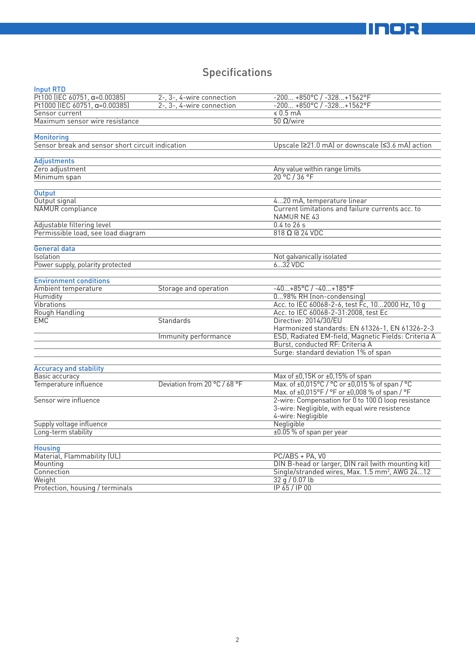# **Specifications**

| <b>Input RTD</b>                                 |                              |                                                                                                  |
|--------------------------------------------------|------------------------------|--------------------------------------------------------------------------------------------------|
| Pt100 (IEC 60751, $\alpha = 0.00385$ )           | 2-, 3-, 4-wire connection    | $-200+850°C/ -328+1562°F$                                                                        |
| Pt1000 (IEC 60751, $\alpha = 0.00385$ )          | 2-, 3-, 4-wire connection    | $-200+850°C / -328+1562°C$                                                                       |
| Sensor current                                   |                              | \$0.5 mA                                                                                         |
| Maximum sensor wire resistance                   |                              | $50$ Ω/wire                                                                                      |
|                                                  |                              |                                                                                                  |
| <b>Monitoring</b>                                |                              |                                                                                                  |
| Sensor break and sensor short circuit indication |                              | Upscale (≥21.0 mA) or downscale (≤3.6 mA) action                                                 |
| Adjustments                                      |                              |                                                                                                  |
| Zero adjustment                                  |                              | Any value within range limits                                                                    |
| Minimum span                                     |                              | 20 °C / 36 °F                                                                                    |
|                                                  |                              |                                                                                                  |
| <b>Output</b>                                    |                              |                                                                                                  |
| Output signal                                    |                              | 420 mA, temperature linear                                                                       |
| NAMUR compliance                                 |                              | Current limitations and failure currents acc. to<br>NAMUR NE 43                                  |
| Adjustable filtering level                       |                              | $0.4$ to $26$ s                                                                                  |
| Permissible load, see load diagram               |                              | $818$ $\Omega$ @ 24 VDC                                                                          |
| <b>General data</b>                              |                              |                                                                                                  |
| Isolation                                        |                              | Not galvanically isolated                                                                        |
| Power supply, polarity protected                 |                              | 632 VDC                                                                                          |
|                                                  |                              |                                                                                                  |
| <b>Environment conditions</b>                    |                              |                                                                                                  |
| Ambient temperature                              | Storage and operation        | $-40+85$ °C / $-40+185$ °F                                                                       |
| Humidity                                         |                              | 098% RH (non-condensing)                                                                         |
| Vibrations                                       |                              | Acc. to IEC 60068-2-6, test Fc, 102000 Hz, 10 g                                                  |
| Rough Handling                                   |                              | Acc. to IEC 60068-2-31:2008, test Ec                                                             |
| EMC                                              | Standards                    | Directive: 2014/30/EU                                                                            |
|                                                  |                              | Harmonized standards: EN 61326-1, EN 61326-2-3                                                   |
|                                                  | Immunity performance         | ESD, Radiated EM-field, Magnetic Fields: Criteria A                                              |
|                                                  |                              | Burst, conducted RF: Criteria A                                                                  |
|                                                  |                              | Surge: standard deviation 1% of span                                                             |
|                                                  |                              |                                                                                                  |
| <b>Accuracy and stability</b>                    |                              |                                                                                                  |
| Basic accuracy                                   |                              | Max of ±0,15K or ±0,15% of span                                                                  |
| Temperature influence                            | Deviation from 20 °C / 68 °F | Max. of ±0,015°C / °C or ±0,015 % of span / °C<br>Max. of ±0,015°F / °F or ±0,008 % of span / °F |
| Sensor wire influence                            |                              | 2-wire: Compensation for 0 to 100 $\Omega$ loop resistance                                       |
|                                                  |                              | 3-wire: Negligible, with equal wire resistence                                                   |
|                                                  |                              | 4-wire: Negligible                                                                               |
| Supply voltage influence                         |                              | Negligible                                                                                       |
| Long-term stability                              |                              | ±0.05 % of span per year                                                                         |
|                                                  |                              |                                                                                                  |
| <b>Housing</b>                                   |                              |                                                                                                  |
| Material, Flammability (UL)                      |                              | PC/ABS + PA, V0                                                                                  |
| Mounting                                         |                              | DIN B-head or larger, DIN rail (with mounting kit)                                               |
| Connection                                       |                              | Single/stranded wires, Max. 1.5 mm <sup>2</sup> , AWG 2412                                       |
| Weight                                           |                              | 32q/0.07lb                                                                                       |
| Protection, housing / terminals                  |                              | IP 65 / IP 00                                                                                    |